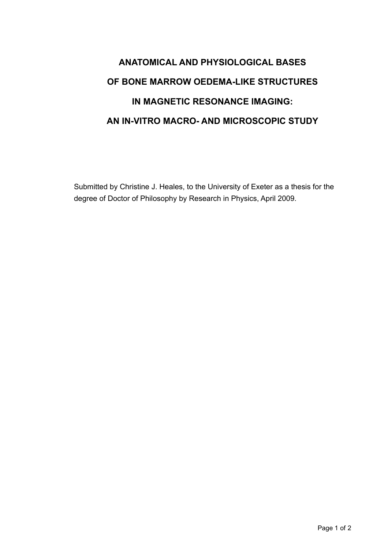## **ANATOMICAL AND PHYSIOLOGICAL BASES OF BONE MARROW OEDEMA-LIKE STRUCTURES IN MAGNETIC RESONANCE IMAGING: AN IN-VITRO MACRO- AND MICROSCOPIC STUDY**

Submitted by Christine J. Heales, to the University of Exeter as a thesis for the degree of Doctor of Philosophy by Research in Physics, April 2009.